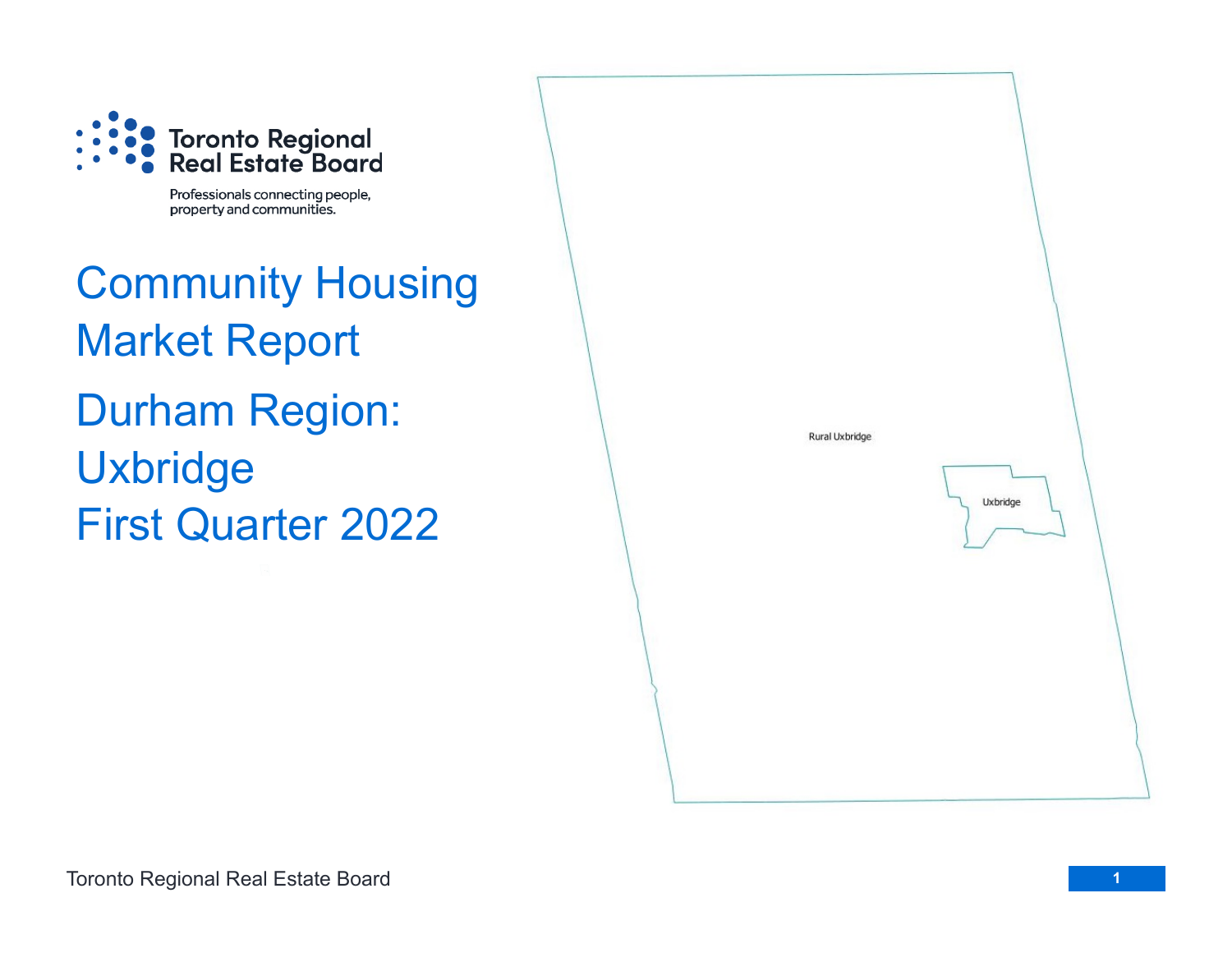

Professionals connecting people, property and communities.

Community Housing Market Report Durham Region: Uxbridge First Quarter 2022

Rural Uxbridge Uxbridge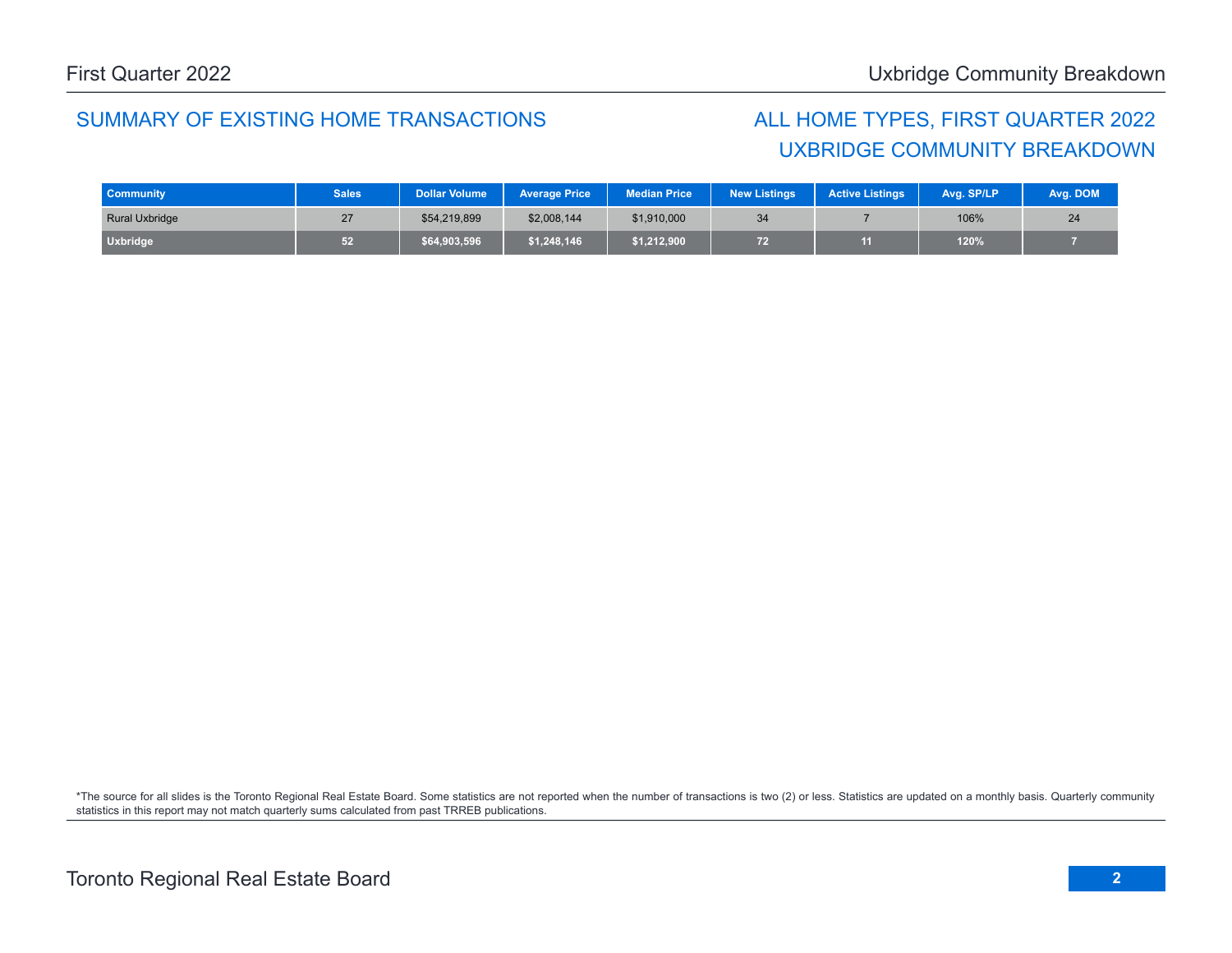## SUMMARY OF EXISTING HOME TRANSACTIONS ALL HOME TYPES, FIRST QUARTER 2022

## UXBRIDGE COMMUNITY BREAKDOWN

| <b>Community</b>      | <b>Sales</b> | <b>Dollar Volume</b> | <b>Average Price</b> | Median Price | <b>New Listings</b> | <b>Active Listings</b> | Avg. SP/LP | Avg. DOM |
|-----------------------|--------------|----------------------|----------------------|--------------|---------------------|------------------------|------------|----------|
| <b>Rural Uxbridge</b> |              | \$54,219,899         | \$2,008,144          | \$1,910,000  | 34                  |                        | 106%       | 24       |
| <b>Uxbridge</b>       | 52           | \$64,903,596         | \$1,248,146          | \$1,212,900  | 72                  |                        | 120%       |          |

\*The source for all slides is the Toronto Regional Real Estate Board. Some statistics are not reported when the number of transactions is two (2) or less. Statistics are updated on a monthly basis. Quarterly community statistics in this report may not match quarterly sums calculated from past TRREB publications.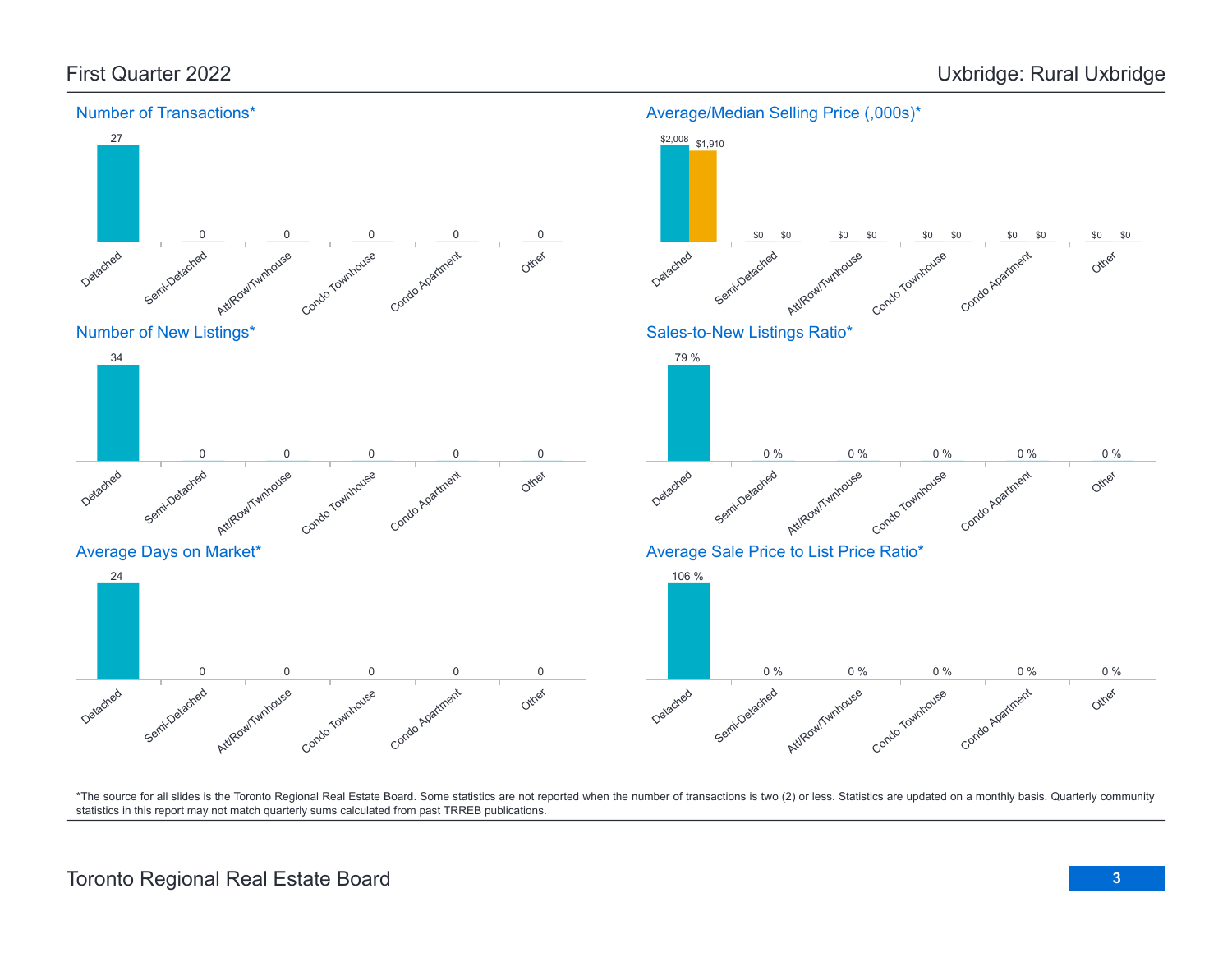

\*The source for all slides is the Toronto Regional Real Estate Board. Some statistics are not reported when the number of transactions is two (2) or less. Statistics are updated on a monthly basis. Quarterly community statistics in this report may not match quarterly sums calculated from past TRREB publications.